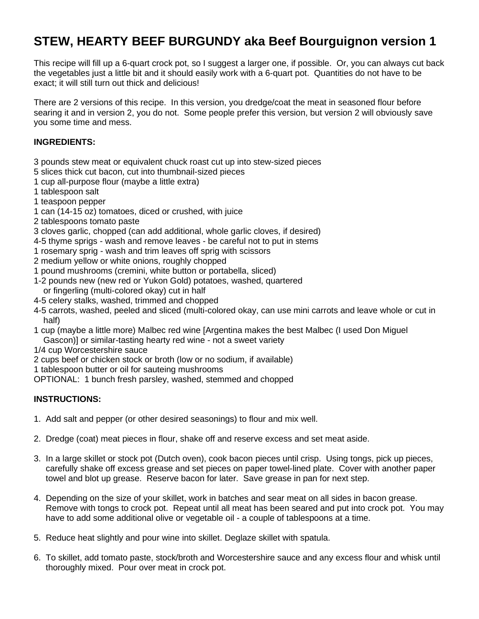## **STEW, HEARTY BEEF BURGUNDY aka Beef Bourguignon version 1**

This recipe will fill up a 6-quart crock pot, so I suggest a larger one, if possible. Or, you can always cut back the vegetables just a little bit and it should easily work with a 6-quart pot. Quantities do not have to be exact; it will still turn out thick and delicious!

There are 2 versions of this recipe. In this version, you dredge/coat the meat in seasoned flour before searing it and in version 2, you do not. Some people prefer this version, but version 2 will obviously save you some time and mess.

## **INGREDIENTS:**

- 3 pounds stew meat or equivalent chuck roast cut up into stew-sized pieces
- 5 slices thick cut bacon, cut into thumbnail-sized pieces
- 1 cup all-purpose flour (maybe a little extra)
- 1 tablespoon salt
- 1 teaspoon pepper
- 1 can (14-15 oz) tomatoes, diced or crushed, with juice
- 2 tablespoons tomato paste
- 3 cloves garlic, chopped (can add additional, whole garlic cloves, if desired)
- 4-5 thyme sprigs wash and remove leaves be careful not to put in stems
- 1 rosemary sprig wash and trim leaves off sprig with scissors
- 2 medium yellow or white onions, roughly chopped
- 1 pound mushrooms (cremini, white button or portabella, sliced)
- 1-2 pounds new (new red or Yukon Gold) potatoes, washed, quartered or fingerling (multi-colored okay) cut in half
- 4-5 celery stalks, washed, trimmed and chopped
- 4-5 carrots, washed, peeled and sliced (multi-colored okay, can use mini carrots and leave whole or cut in half)
- 1 cup (maybe a little more) Malbec red wine [Argentina makes the best Malbec (I used Don Miguel Gascon)] or similar-tasting hearty red wine - not a sweet variety
- 1/4 cup Worcestershire sauce
- 2 cups beef or chicken stock or broth (low or no sodium, if available)
- 1 tablespoon butter or oil for sauteing mushrooms
- OPTIONAL: 1 bunch fresh parsley, washed, stemmed and chopped

## **INSTRUCTIONS:**

- 1. Add salt and pepper (or other desired seasonings) to flour and mix well.
- 2. Dredge (coat) meat pieces in flour, shake off and reserve excess and set meat aside.
- 3. In a large skillet or stock pot (Dutch oven), cook bacon pieces until crisp. Using tongs, pick up pieces, carefully shake off excess grease and set pieces on paper towel-lined plate. Cover with another paper towel and blot up grease. Reserve bacon for later. Save grease in pan for next step.
- 4. Depending on the size of your skillet, work in batches and sear meat on all sides in bacon grease. Remove with tongs to crock pot. Repeat until all meat has been seared and put into crock pot. You may have to add some additional olive or vegetable oil - a couple of tablespoons at a time.
- 5. Reduce heat slightly and pour wine into skillet. Deglaze skillet with spatula.
- 6. To skillet, add tomato paste, stock/broth and Worcestershire sauce and any excess flour and whisk until thoroughly mixed. Pour over meat in crock pot.